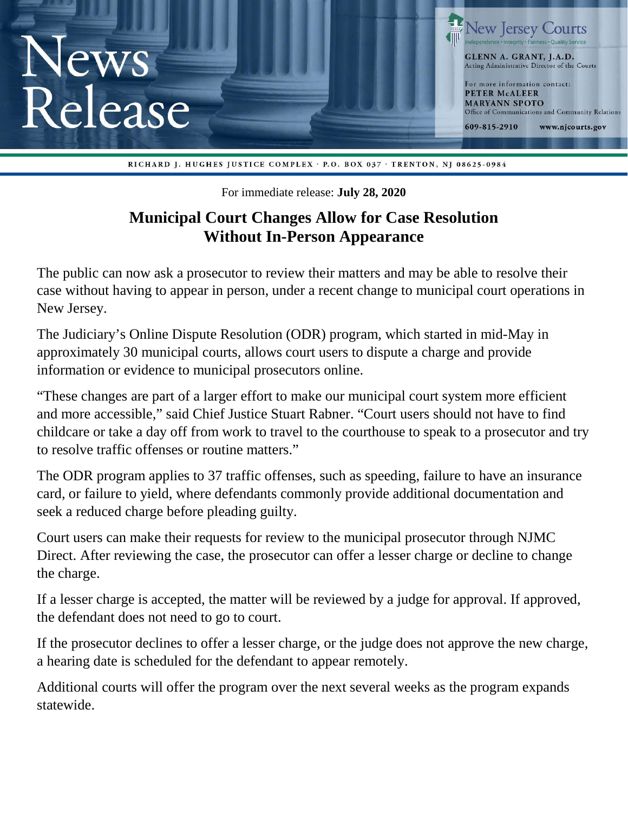

RICHARD J. HUGHES JUSTICE COMPLEX · P.O. BOX 037 · TRENTON, NJ 08625-0984

For immediate release: **July 28, 2020**

## **Municipal Court Changes Allow for Case Resolution Without In-Person Appearance**

The public can now ask a prosecutor to review their matters and may be able to resolve their case without having to appear in person, under a recent change to municipal court operations in New Jersey.

The Judiciary's Online Dispute Resolution (ODR) program, which started in mid-May in approximately 30 municipal courts, allows court users to dispute a charge and provide information or evidence to municipal prosecutors online.

"These changes are part of a larger effort to make our municipal court system more efficient and more accessible," said Chief Justice Stuart Rabner. "Court users should not have to find childcare or take a day off from work to travel to the courthouse to speak to a prosecutor and try to resolve traffic offenses or routine matters."

The ODR program applies to 37 traffic offenses, such as speeding, failure to have an insurance card, or failure to yield, where defendants commonly provide additional documentation and seek a reduced charge before pleading guilty.

Court users can make their requests for review to the municipal prosecutor through NJMC Direct. After reviewing the case, the prosecutor can offer a lesser charge or decline to change the charge.

If a lesser charge is accepted, the matter will be reviewed by a judge for approval. If approved, the defendant does not need to go to court.

If the prosecutor declines to offer a lesser charge, or the judge does not approve the new charge, a hearing date is scheduled for the defendant to appear remotely.

Additional courts will offer the program over the next several weeks as the program expands statewide.